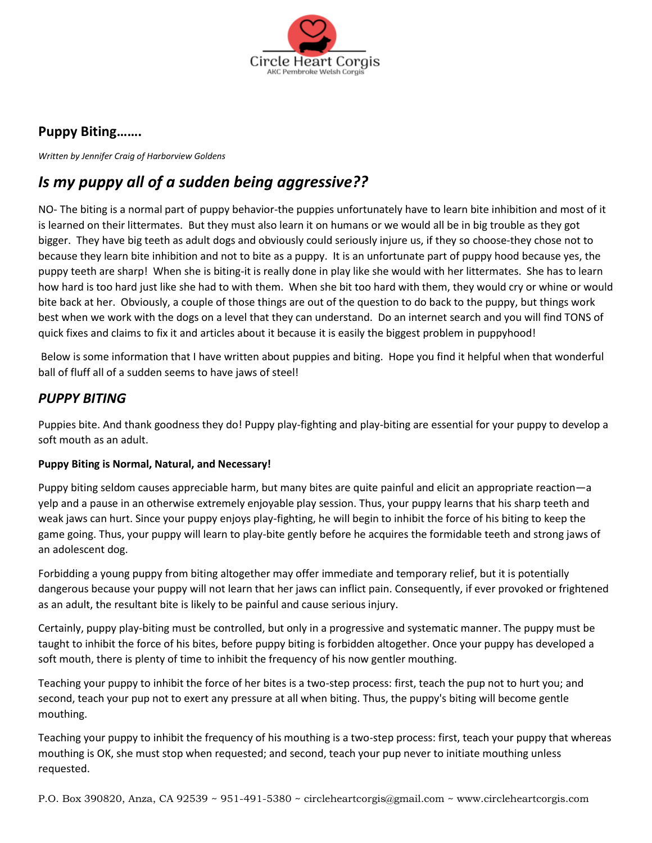

## **Puppy Biting…….**

*Written by Jennifer Craig of Harborview Goldens* 

# *Is my puppy all of a sudden being aggressive??*

NO- The biting is a normal part of puppy behavior-the puppies unfortunately have to learn bite inhibition and most of it is learned on their littermates. But they must also learn it on humans or we would all be in big trouble as they got bigger. They have big teeth as adult dogs and obviously could seriously injure us, if they so choose-they chose not to because they learn bite inhibition and not to bite as a puppy. It is an unfortunate part of puppy hood because yes, the puppy teeth are sharp! When she is biting-it is really done in play like she would with her littermates. She has to learn how hard is too hard just like she had to with them. When she bit too hard with them, they would cry or whine or would bite back at her. Obviously, a couple of those things are out of the question to do back to the puppy, but things work best when we work with the dogs on a level that they can understand. Do an internet search and you will find TONS of quick fixes and claims to fix it and articles about it because it is easily the biggest problem in puppyhood!

Below is some information that I have written about puppies and biting. Hope you find it helpful when that wonderful ball of fluff all of a sudden seems to have jaws of steel!

### *PUPPY BITING*

Puppies bite. And thank goodness they do! Puppy play-fighting and play-biting are essential for your puppy to develop a soft mouth as an adult.

#### **Puppy Biting is Normal, Natural, and Necessary!**

Puppy biting seldom causes appreciable harm, but many bites are quite painful and elicit an appropriate reaction—a yelp and a pause in an otherwise extremely enjoyable play session. Thus, your puppy learns that his sharp teeth and weak jaws can hurt. Since your puppy enjoys play-fighting, he will begin to inhibit the force of his biting to keep the game going. Thus, your puppy will learn to play-bite gently before he acquires the formidable teeth and strong jaws of an adolescent dog.

Forbidding a young puppy from biting altogether may offer immediate and temporary relief, but it is potentially dangerous because your puppy will not learn that her jaws can inflict pain. Consequently, if ever provoked or frightened as an adult, the resultant bite is likely to be painful and cause serious injury.

Certainly, puppy play-biting must be controlled, but only in a progressive and systematic manner. The puppy must be taught to inhibit the force of his bites, before puppy biting is forbidden altogether. Once your puppy has developed a soft mouth, there is plenty of time to inhibit the frequency of his now gentler mouthing.

Teaching your puppy to inhibit the force of her bites is a two-step process: first, teach the pup not to hurt you; and second, teach your pup not to exert any pressure at all when biting. Thus, the puppy's biting will become gentle mouthing.

Teaching your puppy to inhibit the frequency of his mouthing is a two-step process: first, teach your puppy that whereas mouthing is OK, she must stop when requested; and second, teach your pup never to initiate mouthing unless requested.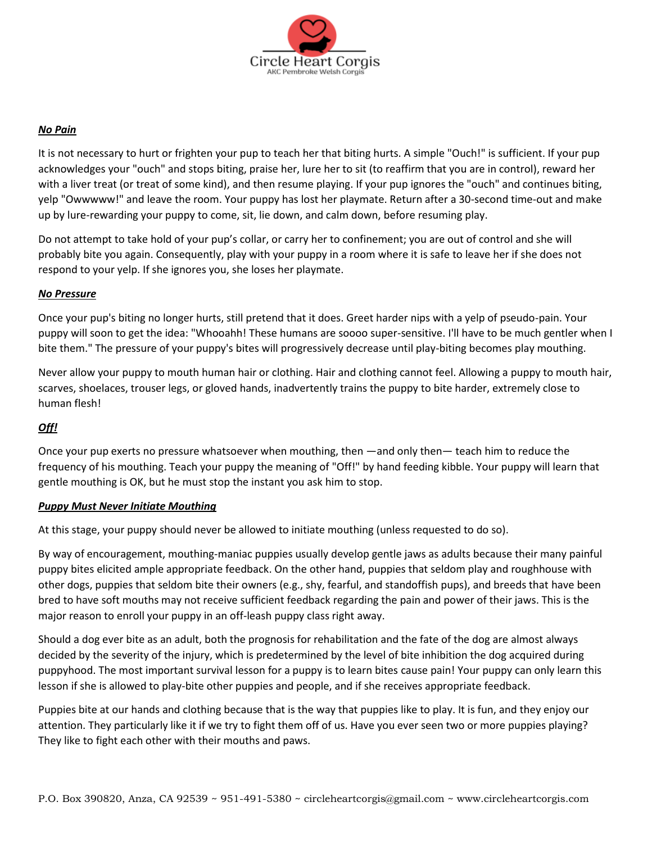

#### *No Pain*

It is not necessary to hurt or frighten your pup to teach her that biting hurts. A simple "Ouch!" is sufficient. If your pup acknowledges your "ouch" and stops biting, praise her, lure her to sit (to reaffirm that you are in control), reward her with a liver treat (or treat of some kind), and then resume playing. If your pup ignores the "ouch" and continues biting, yelp "Owwwww!" and leave the room. Your puppy has lost her playmate. Return after a 30-second time-out and make up by lure-rewarding your puppy to come, sit, lie down, and calm down, before resuming play.

Do not attempt to take hold of your pup's collar, or carry her to confinement; you are out of control and she will probably bite you again. Consequently, play with your puppy in a room where it is safe to leave her if she does not respond to your yelp. If she ignores you, she loses her playmate.

#### *No Pressure*

Once your pup's biting no longer hurts, still pretend that it does. Greet harder nips with a yelp of pseudo-pain. Your puppy will soon to get the idea: "Whooahh! These humans are soooo super-sensitive. I'll have to be much gentler when I bite them." The pressure of your puppy's bites will progressively decrease until play-biting becomes play mouthing.

Never allow your puppy to mouth human hair or clothing. Hair and clothing cannot feel. Allowing a puppy to mouth hair, scarves, shoelaces, trouser legs, or gloved hands, inadvertently trains the puppy to bite harder, extremely close to human flesh!

#### *Off!*

Once your pup exerts no pressure whatsoever when mouthing, then —and only then— teach him to reduce the frequency of his mouthing. Teach your puppy the meaning of "Off!" by hand feeding kibble. Your puppy will learn that gentle mouthing is OK, but he must stop the instant you ask him to stop.

#### *Puppy Must Never Initiate Mouthing*

At this stage, your puppy should never be allowed to initiate mouthing (unless requested to do so).

By way of encouragement, mouthing-maniac puppies usually develop gentle jaws as adults because their many painful puppy bites elicited ample appropriate feedback. On the other hand, puppies that seldom play and roughhouse with other dogs, puppies that seldom bite their owners (e.g., shy, fearful, and standoffish pups), and breeds that have been bred to have soft mouths may not receive sufficient feedback regarding the pain and power of their jaws. This is the major reason to enroll your puppy in an off-leash puppy class right away.

Should a dog ever bite as an adult, both the prognosis for rehabilitation and the fate of the dog are almost always decided by the severity of the injury, which is predetermined by the level of bite inhibition the dog acquired during puppyhood. The most important survival lesson for a puppy is to learn bites cause pain! Your puppy can only learn this lesson if she is allowed to play-bite other puppies and people, and if she receives appropriate feedback.

Puppies bite at our hands and clothing because that is the way that puppies like to play. It is fun, and they enjoy our attention. They particularly like it if we try to fight them off of us. Have you ever seen two or more puppies playing? They like to fight each other with their mouths and paws.